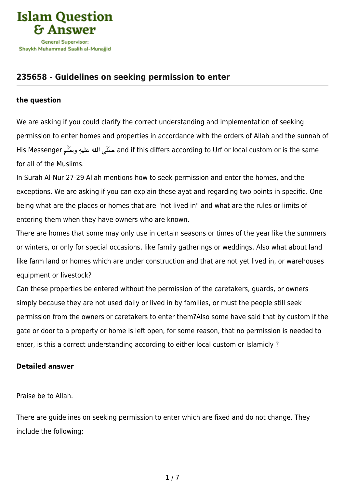

# **[235658 - Guidelines on seeking permission to enter](https://islamqa.ws/en/answers/235658/guidelines-on-seeking-permission-to-enter)**

### **the question**

We are asking if you could clarify the correct understanding and implementation of seeking permission to enter homes and properties in accordance with the orders of Allah and the sunnah of His Messenger صَلَى الله عليه وسَلَّم and if this differs according to Urf or local custom or is the same for all of the Muslims.

In Surah Al-Nur 27-29 Allah mentions how to seek permission and enter the homes, and the exceptions. We are asking if you can explain these ayat and regarding two points in specific. One being what are the places or homes that are "not lived in" and what are the rules or limits of entering them when they have owners who are known.

There are homes that some may only use in certain seasons or times of the year like the summers or winters, or only for special occasions, like family gatherings or weddings. Also what about land like farm land or homes which are under construction and that are not yet lived in, or warehouses equipment or livestock?

Can these properties be entered without the permission of the caretakers, guards, or owners simply because they are not used daily or lived in by families, or must the people still seek permission from the owners or caretakers to enter them?Also some have said that by custom if the gate or door to a property or home is left open, for some reason, that no permission is needed to enter, is this a correct understanding according to either local custom or Islamicly ?

# **Detailed answer**

Praise be to Allah.

There are guidelines on seeking permission to enter which are fixed and do not change. They include the following: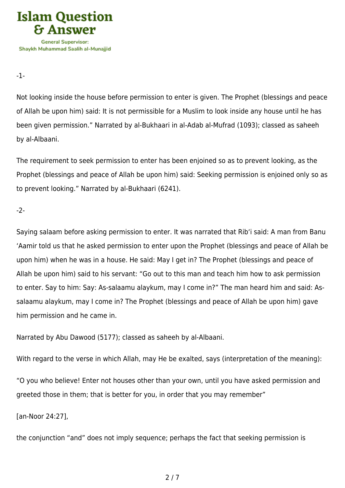

-1-

Not looking inside the house before permission to enter is given. The Prophet (blessings and peace of Allah be upon him) said: It is not permissible for a Muslim to look inside any house until he has been given permission." Narrated by al-Bukhaari in al-Adab al-Mufrad (1093); classed as saheeh by al-Albaani.

The requirement to seek permission to enter has been enjoined so as to prevent looking, as the Prophet (blessings and peace of Allah be upon him) said: Seeking permission is enjoined only so as to prevent looking." Narrated by al-Bukhaari (6241).

-2-

Saying salaam before asking permission to enter. It was narrated that Rib'i said: A man from Banu 'Aamir told us that he asked permission to enter upon the Prophet (blessings and peace of Allah be upon him) when he was in a house. He said: May I get in? The Prophet (blessings and peace of Allah be upon him) said to his servant: "Go out to this man and teach him how to ask permission to enter. Say to him: Say: As-salaamu alaykum, may I come in?" The man heard him and said: Assalaamu alaykum, may I come in? The Prophet (blessings and peace of Allah be upon him) gave him permission and he came in.

Narrated by Abu Dawood (5177); classed as saheeh by al-Albaani.

With regard to the verse in which Allah, may He be exalted, says (interpretation of the meaning):

"O you who believe! Enter not houses other than your own, until you have asked permission and greeted those in them; that is better for you, in order that you may remember"

[an-Noor 24:27],

the conjunction "and" does not imply sequence; perhaps the fact that seeking permission is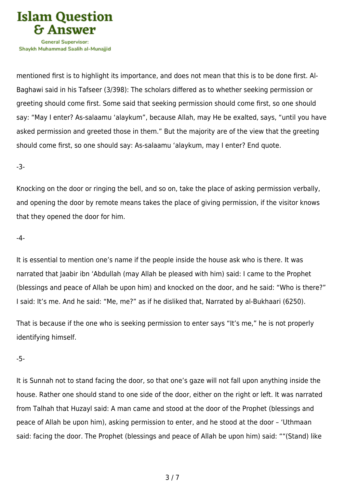

mentioned first is to highlight its importance, and does not mean that this is to be done first. Al-Baghawi said in his Tafseer (3/398): The scholars differed as to whether seeking permission or greeting should come first. Some said that seeking permission should come first, so one should say: "May I enter? As-salaamu 'alaykum", because Allah, may He be exalted, says, "until you have asked permission and greeted those in them." But the majority are of the view that the greeting should come first, so one should say: As-salaamu 'alaykum, may I enter? End quote.

-3-

Knocking on the door or ringing the bell, and so on, take the place of asking permission verbally, and opening the door by remote means takes the place of giving permission, if the visitor knows that they opened the door for him.

### -4-

It is essential to mention one's name if the people inside the house ask who is there. It was narrated that Jaabir ibn 'Abdullah (may Allah be pleased with him) said: I came to the Prophet (blessings and peace of Allah be upon him) and knocked on the door, and he said: "Who is there?" I said: It's me. And he said: "Me, me?" as if he disliked that, Narrated by al-Bukhaari (6250).

That is because if the one who is seeking permission to enter says "It's me," he is not properly identifying himself.

### -5-

It is Sunnah not to stand facing the door, so that one's gaze will not fall upon anything inside the house. Rather one should stand to one side of the door, either on the right or left. It was narrated from Talhah that Huzayl said: A man came and stood at the door of the Prophet (blessings and peace of Allah be upon him), asking permission to enter, and he stood at the door – 'Uthmaan said: facing the door. The Prophet (blessings and peace of Allah be upon him) said: ""(Stand) like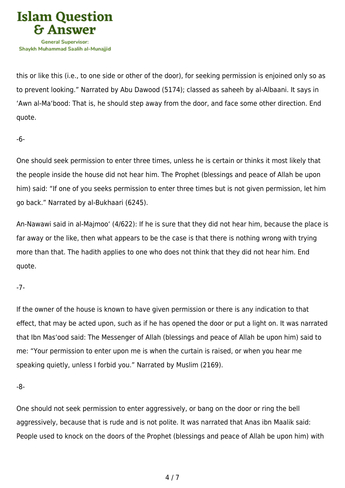

this or like this (i.e., to one side or other of the door), for seeking permission is enjoined only so as to prevent looking." Narrated by Abu Dawood (5174); classed as saheeh by al-Albaani. It says in 'Awn al-Ma'bood: That is, he should step away from the door, and face some other direction. End quote.

-6-

One should seek permission to enter three times, unless he is certain or thinks it most likely that the people inside the house did not hear him. The Prophet (blessings and peace of Allah be upon him) said: "If one of you seeks permission to enter three times but is not given permission, let him go back." Narrated by al-Bukhaari (6245).

An-Nawawi said in al-Majmoo' (4/622): If he is sure that they did not hear him, because the place is far away or the like, then what appears to be the case is that there is nothing wrong with trying more than that. The hadith applies to one who does not think that they did not hear him. End quote.

# -7-

If the owner of the house is known to have given permission or there is any indication to that effect, that may be acted upon, such as if he has opened the door or put a light on. It was narrated that Ibn Mas'ood said: The Messenger of Allah (blessings and peace of Allah be upon him) said to me: "Your permission to enter upon me is when the curtain is raised, or when you hear me speaking quietly, unless I forbid you." Narrated by Muslim (2169).

-8-

One should not seek permission to enter aggressively, or bang on the door or ring the bell aggressively, because that is rude and is not polite. It was narrated that Anas ibn Maalik said: People used to knock on the doors of the Prophet (blessings and peace of Allah be upon him) with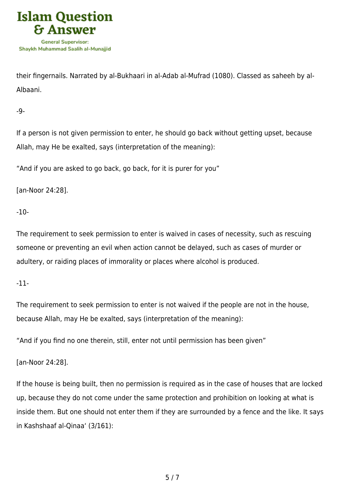

their fingernails. Narrated by al-Bukhaari in al-Adab al-Mufrad (1080). Classed as saheeh by al-Albaani.

-9-

If a person is not given permission to enter, he should go back without getting upset, because Allah, may He be exalted, says (interpretation of the meaning):

"And if you are asked to go back, go back, for it is purer for you"

[an-Noor 24:28].

-10-

The requirement to seek permission to enter is waived in cases of necessity, such as rescuing someone or preventing an evil when action cannot be delayed, such as cases of murder or adultery, or raiding places of immorality or places where alcohol is produced.

-11-

The requirement to seek permission to enter is not waived if the people are not in the house, because Allah, may He be exalted, says (interpretation of the meaning):

"And if you find no one therein, still, enter not until permission has been given"

[an-Noor 24:28].

If the house is being built, then no permission is required as in the case of houses that are locked up, because they do not come under the same protection and prohibition on looking at what is inside them. But one should not enter them if they are surrounded by a fence and the like. It says in Kashshaaf al-Qinaa' (3/161):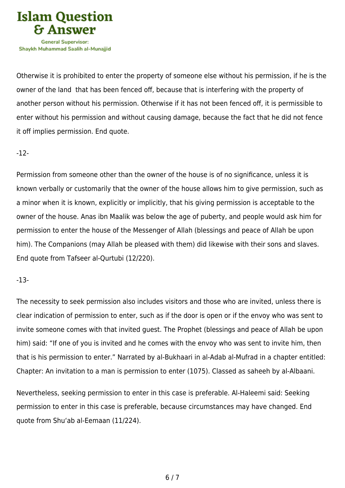

Otherwise it is prohibited to enter the property of someone else without his permission, if he is the owner of the land that has been fenced off, because that is interfering with the property of another person without his permission. Otherwise if it has not been fenced off, it is permissible to enter without his permission and without causing damage, because the fact that he did not fence it off implies permission. End quote.

### -12-

Permission from someone other than the owner of the house is of no significance, unless it is known verbally or customarily that the owner of the house allows him to give permission, such as a minor when it is known, explicitly or implicitly, that his giving permission is acceptable to the owner of the house. Anas ibn Maalik was below the age of puberty, and people would ask him for permission to enter the house of the Messenger of Allah (blessings and peace of Allah be upon him). The Companions (may Allah be pleased with them) did likewise with their sons and slaves. End quote from Tafseer al-Qurtubi (12/220).

# -13-

The necessity to seek permission also includes visitors and those who are invited, unless there is clear indication of permission to enter, such as if the door is open or if the envoy who was sent to invite someone comes with that invited guest. The Prophet (blessings and peace of Allah be upon him) said: "If one of you is invited and he comes with the envoy who was sent to invite him, then that is his permission to enter." Narrated by al-Bukhaari in al-Adab al-Mufrad in a chapter entitled: Chapter: An invitation to a man is permission to enter (1075). Classed as saheeh by al-Albaani.

Nevertheless, seeking permission to enter in this case is preferable. Al-Haleemi said: Seeking permission to enter in this case is preferable, because circumstances may have changed. End quote from Shu'ab al-Eemaan (11/224).